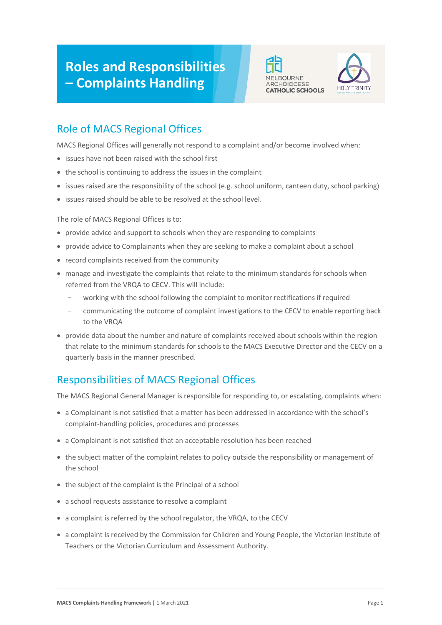# **Roles and Responsibilities – Complaints Handling**





# Role of MACS Regional Offices

MACS Regional Offices will generally not respond to a complaint and/or become involved when:

- issues have not been raised with the school first
- the school is continuing to address the issues in the complaint
- issues raised are the responsibility of the school (e.g. school uniform, canteen duty, school parking)
- issues raised should be able to be resolved at the school level.

The role of MACS Regional Offices is to:

- provide advice and support to schools when they are responding to complaints
- provide advice to Complainants when they are seeking to make a complaint about a school
- record complaints received from the community
- manage and investigate the complaints that relate to the minimum standards for schools when referred from the VRQA to CECV. This will include:
	- working with the school following the complaint to monitor rectifications if required
	- communicating the outcome of complaint investigations to the CECV to enable reporting back to the VRQA
- provide data about the number and nature of complaints received about schools within the region that relate to the minimum standards for schools to the MACS Executive Director and the CECV on a quarterly basis in the manner prescribed.

## Responsibilities of MACS Regional Offices

The MACS Regional General Manager is responsible for responding to, or escalating, complaints when:

- a Complainant is not satisfied that a matter has been addressed in accordance with the school's complaint-handling policies, procedures and processes
- a Complainant is not satisfied that an acceptable resolution has been reached
- the subject matter of the complaint relates to policy outside the responsibility or management of the school
- the subject of the complaint is the Principal of a school
- a school requests assistance to resolve a complaint
- a complaint is referred by the school regulator, the VRQA, to the CECV
- a complaint is received by the Commission for Children and Young People, the Victorian Institute of Teachers or the Victorian Curriculum and Assessment Authority.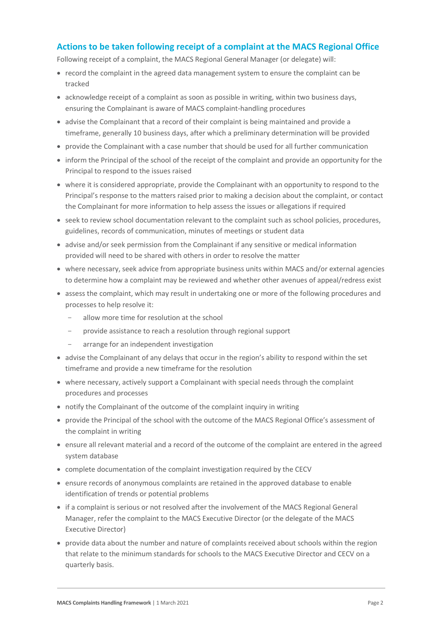#### **Actions to be taken following receipt of a complaint at the MACS Regional Office**

Following receipt of a complaint, the MACS Regional General Manager (or delegate) will:

- record the complaint in the agreed data management system to ensure the complaint can be tracked
- acknowledge receipt of a complaint as soon as possible in writing, within two business days, ensuring the Complainant is aware of MACS complaint-handling procedures
- advise the Complainant that a record of their complaint is being maintained and provide a timeframe, generally 10 business days, after which a preliminary determination will be provided
- provide the Complainant with a case number that should be used for all further communication
- inform the Principal of the school of the receipt of the complaint and provide an opportunity for the Principal to respond to the issues raised
- where it is considered appropriate, provide the Complainant with an opportunity to respond to the Principal's response to the matters raised prior to making a decision about the complaint, or contact the Complainant for more information to help assess the issues or allegations if required
- seek to review school documentation relevant to the complaint such as school policies, procedures, guidelines, records of communication, minutes of meetings or student data
- advise and/or seek permission from the Complainant if any sensitive or medical information provided will need to be shared with others in order to resolve the matter
- where necessary, seek advice from appropriate business units within MACS and/or external agencies to determine how a complaint may be reviewed and whether other avenues of appeal/redress exist
- assess the complaint, which may result in undertaking one or more of the following procedures and processes to help resolve it:
	- allow more time for resolution at the school
	- provide assistance to reach a resolution through regional support
	- arrange for an independent investigation
- advise the Complainant of any delays that occur in the region's ability to respond within the set timeframe and provide a new timeframe for the resolution
- where necessary, actively support a Complainant with special needs through the complaint procedures and processes
- notify the Complainant of the outcome of the complaint inquiry in writing
- provide the Principal of the school with the outcome of the MACS Regional Office's assessment of the complaint in writing
- ensure all relevant material and a record of the outcome of the complaint are entered in the agreed system database
- complete documentation of the complaint investigation required by the CECV
- ensure records of anonymous complaints are retained in the approved database to enable identification of trends or potential problems
- if a complaint is serious or not resolved after the involvement of the MACS Regional General Manager, refer the complaint to the MACS Executive Director (or the delegate of the MACS Executive Director)
- provide data about the number and nature of complaints received about schools within the region that relate to the minimum standards for schools to the MACS Executive Director and CECV on a quarterly basis.